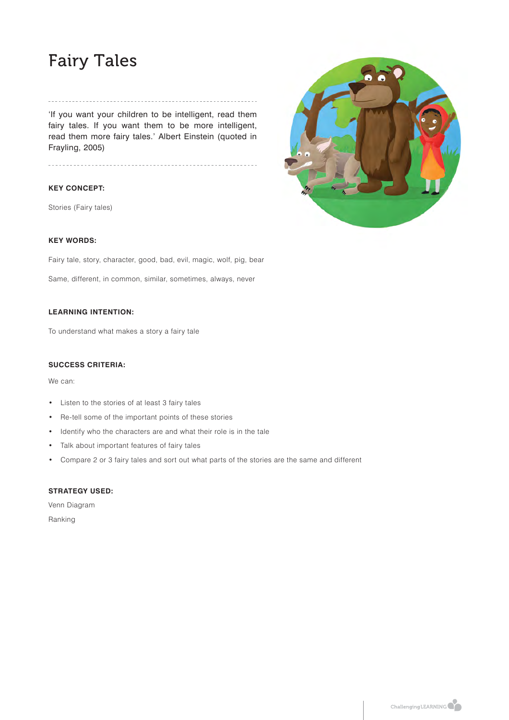# Fairy Tales

### 'If you want your children to be intelligent, read them fairy tales. If you want them to be more intelligent, read them more fairy tales.' Albert Einstein (quoted in Frayling, 2005)

### **KEY CONCEPT:**

Stories (Fairy tales)



### **KEY WORDS:**

Fairy tale, story, character, good, bad, evil, magic, wolf, pig, bear

Same, different, in common, similar, sometimes, always, never

### **LEARNING INTENTION:**

To understand what makes a story a fairy tale

#### **SUCCESS CRITERIA:**

We can:

- Listen to the stories of at least 3 fairy tales
- Re-tell some of the important points of these stories
- Identify who the characters are and what their role is in the tale
- Talk about important features of fairy tales
- Compare 2 or 3 fairy tales and sort out what parts of the stories are the same and different

### **STRATEGY USED:**

Venn Diagram Ranking

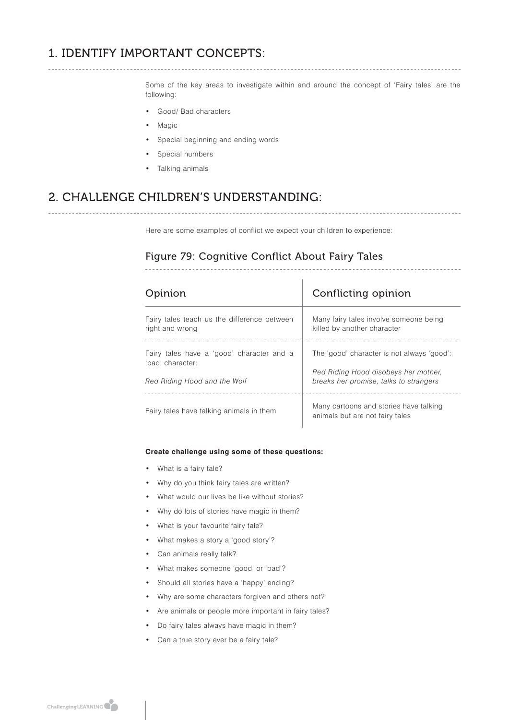# 1. IDENTIFY IMPORTANT CONCEPTS:

Some of the key areas to investigate within and around the concept of 'Fairy tales' are the following:

- Good/ Bad characters
- **Magic**
- Special beginning and ending words
- Special numbers
- Talking animals

# 2. CHALLENGE CHILDREN'S UNDERSTANDING:

Here are some examples of conflict we expect your children to experience:

### Figure 79: Cognitive Conflict About Fairy Tales

| pinion                                      | Conflicting opinion                                                       |
|---------------------------------------------|---------------------------------------------------------------------------|
| Fairy tales teach us the difference between | Many fairy tales involve someone being                                    |
| right and wrong                             | killed by another character                                               |
| Fairy tales have a 'good' character and a   | The 'good' character is not always 'good':                                |
| 'bad' character:                            | Red Riding Hood disobeys her mother,                                      |
| Red Riding Hood and the Wolf                | breaks her promise, talks to strangers                                    |
| Fairy tales have talking animals in them    | Many cartoons and stories have talking<br>animals but are not fairy tales |

#### **Create challenge using some of these questions:**

- What is a fairy tale?
- Why do you think fairy tales are written?
- What would our lives be like without stories?
- Why do lots of stories have magic in them?
- What is your favourite fairy tale?
- What makes a story a 'good story'?
- Can animals really talk?
- What makes someone 'good' or 'bad'?
- Should all stories have a 'happy' ending?
- Why are some characters forgiven and others not?
- Are animals or people more important in fairy tales?
- Do fairy tales always have magic in them?
- Can a true story ever be a fairy tale?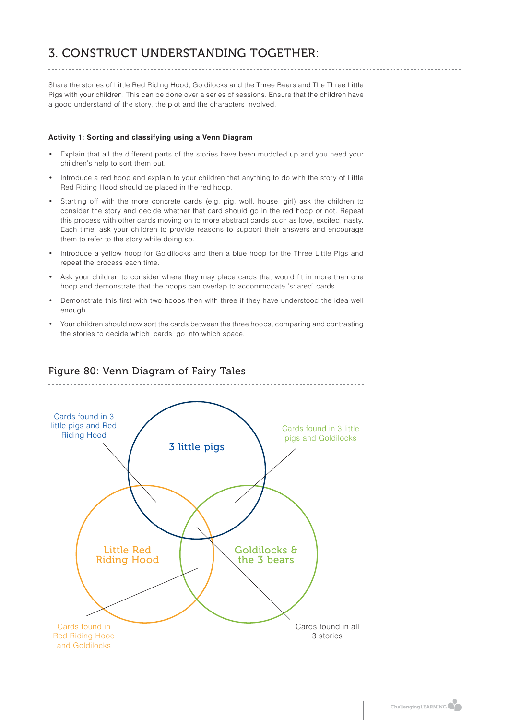# 3. CONSTRUCT UNDERSTANDING TOGETHER:

Share the stories of Little Red Riding Hood, Goldilocks and the Three Bears and The Three Little Pigs with your children. This can be done over a series of sessions. Ensure that the children have a good understand of the story, the plot and the characters involved.

### **Activity 1: Sorting and classifying using a Venn Diagram**

- Explain that all the different parts of the stories have been muddled up and you need your children's help to sort them out.
- Introduce a red hoop and explain to your children that anything to do with the story of Little Red Riding Hood should be placed in the red hoop.
- Starting off with the more concrete cards (e.g. pig, wolf, house, girl) ask the children to consider the story and decide whether that card should go in the red hoop or not. Repeat this process with other cards moving on to more abstract cards such as love, excited, nasty. Each time, ask your children to provide reasons to support their answers and encourage them to refer to the story while doing so.
- Introduce a yellow hoop for Goldilocks and then a blue hoop for the Three Little Pigs and repeat the process each time.
- Ask your children to consider where they may place cards that would fit in more than one hoop and demonstrate that the hoops can overlap to accommodate 'shared' cards.
- Demonstrate this first with two hoops then with three if they have understood the idea well enough.
- Your children should now sort the cards between the three hoops, comparing and contrasting the stories to decide which 'cards' go into which space.



### Figure 80: Venn Diagram of Fairy Tales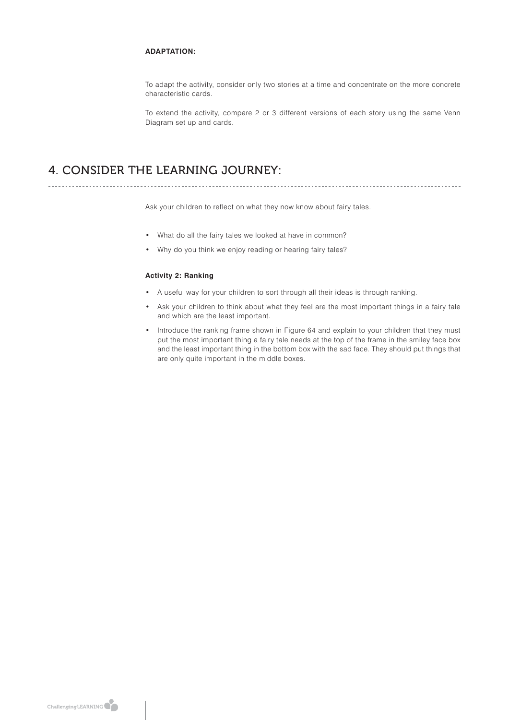### **ADAPTATION:**

To adapt the activity, consider only two stories at a time and concentrate on the more concrete characteristic cards.

To extend the activity, compare 2 or 3 different versions of each story using the same Venn Diagram set up and cards.

## 4. CONSIDER THE LEARNING JOURNEY:

Ask your children to reflect on what they now know about fairy tales.

• What do all the fairy tales we looked at have in common?

• Why do you think we enjoy reading or hearing fairy tales?

### **Activity 2: Ranking**

- A useful way for your children to sort through all their ideas is through ranking.
- Ask your children to think about what they feel are the most important things in a fairy tale and which are the least important.
- Introduce the ranking frame shown in Figure 64 and explain to your children that they must put the most important thing a fairy tale needs at the top of the frame in the smiley face box and the least important thing in the bottom box with the sad face. They should put things that are only quite important in the middle boxes.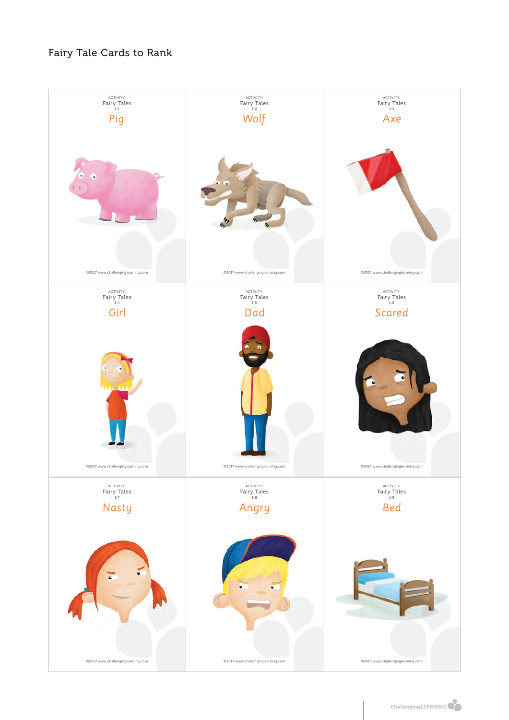# Fairy Tale Cards to Rank

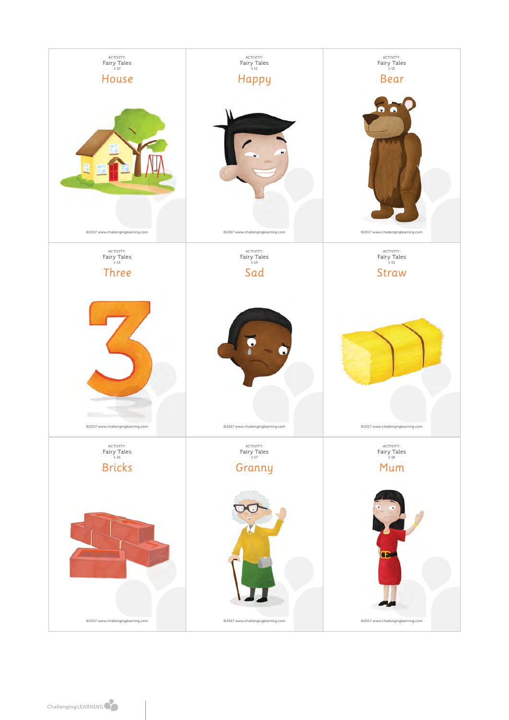